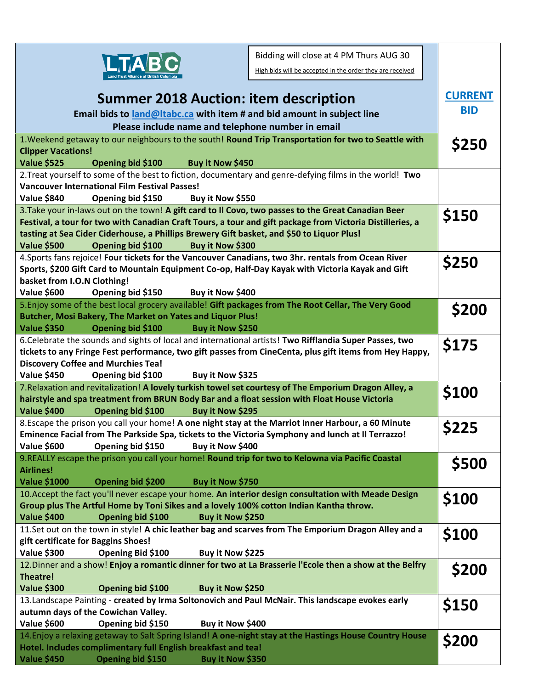

**Clipper Vacations!**

**Summer 2018 Auction: item description Email bids to [land@ltabc.ca](mailto:land@ltabc.ca) with item # and bid amount in subject line Please include name and telephone number in email CURRENT BID** 1.Weekend getaway to our neighbours to the south! **Round Trip Transportation for two to Seattle with Value \$525 Opening bid \$100 Buy it Now \$450 \$250** 2.Treat yourself to some of the best to fiction, documentary and genre-defying films in the world! **Two**  Bidding will close at 4 PM Thurs AUG 30 High bids will be accepted in the order they are received

| <b>Vancouver International Film Festival Passes!</b><br>Value \$840<br>Opening bid \$150<br>Buy it Now \$550<br>3. Take your in-laws out on the town! A gift card to II Covo, two passes to the Great Canadian Beer<br>\$150<br>Festival, a tour for two with Canadian Craft Tours, a tour and gift package from Victoria Distilleries, a<br>tasting at Sea Cider Ciderhouse, a Phillips Brewery Gift basket, and \$50 to Liquor Plus!<br><b>Value \$500</b><br>Opening bid \$100<br>Buy it Now \$300<br>4. Sports fans rejoice! Four tickets for the Vancouver Canadians, two 3hr. rentals from Ocean River<br>\$250<br>Sports, \$200 Gift Card to Mountain Equipment Co-op, Half-Day Kayak with Victoria Kayak and Gift<br>basket from I.O.N Clothing!<br>Value \$600<br>Buy it Now \$400<br>Opening bid \$150<br>5. Enjoy some of the best local grocery available! Gift packages from The Root Cellar, The Very Good<br>\$200<br>Butcher, Mosi Bakery, The Market on Yates and Liquor Plus!<br><b>Value \$350</b><br>Opening bid \$100<br>Buy it Now \$250<br>6. Celebrate the sounds and sights of local and international artists! Two Rifflandia Super Passes, two<br>\$175<br>tickets to any Fringe Fest performance, two gift passes from CineCenta, plus gift items from Hey Happy,<br><b>Discovery Coffee and Murchies Tea!</b><br>Value \$450<br>Buy it Now \$325<br>Opening bid \$100<br>7. Relaxation and revitalization! A lovely turkish towel set courtesy of The Emporium Dragon Alley, a<br>\$100<br>hairstyle and spa treatment from BRUN Body Bar and a float session with Float House Victoria<br><b>Value \$400</b><br>Opening bid \$100<br>Buy it Now \$295<br>8. Escape the prison you call your home! A one night stay at the Marriot Inner Harbour, a 60 Minute<br>\$225<br>Eminence Facial from The Parkside Spa, tickets to the Victoria Symphony and lunch at Il Terrazzo!<br>Value \$600<br>Opening bid \$150<br>Buy it Now \$400<br>9. REALLY escape the prison you call your home! Round trip for two to Kelowna via Pacific Coastal<br>\$500<br><b>Airlines!</b><br><b>Value \$1000</b><br>Buy it Now \$750<br>Opening bid \$200<br>10. Accept the fact you'll never escape your home. An interior design consultation with Meade Design<br>\$100<br>Group plus The Artful Home by Toni Sikes and a lovely 100% cotton Indian Kantha throw.<br>Buy it Now \$250<br>Value \$400<br>Opening bid \$100<br>11.Set out on the town in style! A chic leather bag and scarves from The Emporium Dragon Alley and a<br>\$100<br>gift certificate for Baggins Shoes!<br><b>Value \$300</b><br>Opening Bid \$100<br>Buy it Now \$225 |                                                                                                                                                                           |              |
|--------------------------------------------------------------------------------------------------------------------------------------------------------------------------------------------------------------------------------------------------------------------------------------------------------------------------------------------------------------------------------------------------------------------------------------------------------------------------------------------------------------------------------------------------------------------------------------------------------------------------------------------------------------------------------------------------------------------------------------------------------------------------------------------------------------------------------------------------------------------------------------------------------------------------------------------------------------------------------------------------------------------------------------------------------------------------------------------------------------------------------------------------------------------------------------------------------------------------------------------------------------------------------------------------------------------------------------------------------------------------------------------------------------------------------------------------------------------------------------------------------------------------------------------------------------------------------------------------------------------------------------------------------------------------------------------------------------------------------------------------------------------------------------------------------------------------------------------------------------------------------------------------------------------------------------------------------------------------------------------------------------------------------------------------------------------------------------------------------------------------------------------------------------------------------------------------------------------------------------------------------------------------------------------------------------------------------------------------------------------------------------------------------------------------------------------------------------------------------------------------------------------------------------------------------------------------------------------------------------------------------------------------------------|---------------------------------------------------------------------------------------------------------------------------------------------------------------------------|--------------|
|                                                                                                                                                                                                                                                                                                                                                                                                                                                                                                                                                                                                                                                                                                                                                                                                                                                                                                                                                                                                                                                                                                                                                                                                                                                                                                                                                                                                                                                                                                                                                                                                                                                                                                                                                                                                                                                                                                                                                                                                                                                                                                                                                                                                                                                                                                                                                                                                                                                                                                                                                                                                                                                              |                                                                                                                                                                           |              |
|                                                                                                                                                                                                                                                                                                                                                                                                                                                                                                                                                                                                                                                                                                                                                                                                                                                                                                                                                                                                                                                                                                                                                                                                                                                                                                                                                                                                                                                                                                                                                                                                                                                                                                                                                                                                                                                                                                                                                                                                                                                                                                                                                                                                                                                                                                                                                                                                                                                                                                                                                                                                                                                              |                                                                                                                                                                           |              |
|                                                                                                                                                                                                                                                                                                                                                                                                                                                                                                                                                                                                                                                                                                                                                                                                                                                                                                                                                                                                                                                                                                                                                                                                                                                                                                                                                                                                                                                                                                                                                                                                                                                                                                                                                                                                                                                                                                                                                                                                                                                                                                                                                                                                                                                                                                                                                                                                                                                                                                                                                                                                                                                              |                                                                                                                                                                           |              |
|                                                                                                                                                                                                                                                                                                                                                                                                                                                                                                                                                                                                                                                                                                                                                                                                                                                                                                                                                                                                                                                                                                                                                                                                                                                                                                                                                                                                                                                                                                                                                                                                                                                                                                                                                                                                                                                                                                                                                                                                                                                                                                                                                                                                                                                                                                                                                                                                                                                                                                                                                                                                                                                              |                                                                                                                                                                           |              |
|                                                                                                                                                                                                                                                                                                                                                                                                                                                                                                                                                                                                                                                                                                                                                                                                                                                                                                                                                                                                                                                                                                                                                                                                                                                                                                                                                                                                                                                                                                                                                                                                                                                                                                                                                                                                                                                                                                                                                                                                                                                                                                                                                                                                                                                                                                                                                                                                                                                                                                                                                                                                                                                              |                                                                                                                                                                           |              |
|                                                                                                                                                                                                                                                                                                                                                                                                                                                                                                                                                                                                                                                                                                                                                                                                                                                                                                                                                                                                                                                                                                                                                                                                                                                                                                                                                                                                                                                                                                                                                                                                                                                                                                                                                                                                                                                                                                                                                                                                                                                                                                                                                                                                                                                                                                                                                                                                                                                                                                                                                                                                                                                              |                                                                                                                                                                           |              |
|                                                                                                                                                                                                                                                                                                                                                                                                                                                                                                                                                                                                                                                                                                                                                                                                                                                                                                                                                                                                                                                                                                                                                                                                                                                                                                                                                                                                                                                                                                                                                                                                                                                                                                                                                                                                                                                                                                                                                                                                                                                                                                                                                                                                                                                                                                                                                                                                                                                                                                                                                                                                                                                              |                                                                                                                                                                           |              |
|                                                                                                                                                                                                                                                                                                                                                                                                                                                                                                                                                                                                                                                                                                                                                                                                                                                                                                                                                                                                                                                                                                                                                                                                                                                                                                                                                                                                                                                                                                                                                                                                                                                                                                                                                                                                                                                                                                                                                                                                                                                                                                                                                                                                                                                                                                                                                                                                                                                                                                                                                                                                                                                              |                                                                                                                                                                           |              |
|                                                                                                                                                                                                                                                                                                                                                                                                                                                                                                                                                                                                                                                                                                                                                                                                                                                                                                                                                                                                                                                                                                                                                                                                                                                                                                                                                                                                                                                                                                                                                                                                                                                                                                                                                                                                                                                                                                                                                                                                                                                                                                                                                                                                                                                                                                                                                                                                                                                                                                                                                                                                                                                              |                                                                                                                                                                           |              |
|                                                                                                                                                                                                                                                                                                                                                                                                                                                                                                                                                                                                                                                                                                                                                                                                                                                                                                                                                                                                                                                                                                                                                                                                                                                                                                                                                                                                                                                                                                                                                                                                                                                                                                                                                                                                                                                                                                                                                                                                                                                                                                                                                                                                                                                                                                                                                                                                                                                                                                                                                                                                                                                              |                                                                                                                                                                           |              |
|                                                                                                                                                                                                                                                                                                                                                                                                                                                                                                                                                                                                                                                                                                                                                                                                                                                                                                                                                                                                                                                                                                                                                                                                                                                                                                                                                                                                                                                                                                                                                                                                                                                                                                                                                                                                                                                                                                                                                                                                                                                                                                                                                                                                                                                                                                                                                                                                                                                                                                                                                                                                                                                              |                                                                                                                                                                           |              |
|                                                                                                                                                                                                                                                                                                                                                                                                                                                                                                                                                                                                                                                                                                                                                                                                                                                                                                                                                                                                                                                                                                                                                                                                                                                                                                                                                                                                                                                                                                                                                                                                                                                                                                                                                                                                                                                                                                                                                                                                                                                                                                                                                                                                                                                                                                                                                                                                                                                                                                                                                                                                                                                              |                                                                                                                                                                           |              |
|                                                                                                                                                                                                                                                                                                                                                                                                                                                                                                                                                                                                                                                                                                                                                                                                                                                                                                                                                                                                                                                                                                                                                                                                                                                                                                                                                                                                                                                                                                                                                                                                                                                                                                                                                                                                                                                                                                                                                                                                                                                                                                                                                                                                                                                                                                                                                                                                                                                                                                                                                                                                                                                              |                                                                                                                                                                           |              |
|                                                                                                                                                                                                                                                                                                                                                                                                                                                                                                                                                                                                                                                                                                                                                                                                                                                                                                                                                                                                                                                                                                                                                                                                                                                                                                                                                                                                                                                                                                                                                                                                                                                                                                                                                                                                                                                                                                                                                                                                                                                                                                                                                                                                                                                                                                                                                                                                                                                                                                                                                                                                                                                              |                                                                                                                                                                           |              |
|                                                                                                                                                                                                                                                                                                                                                                                                                                                                                                                                                                                                                                                                                                                                                                                                                                                                                                                                                                                                                                                                                                                                                                                                                                                                                                                                                                                                                                                                                                                                                                                                                                                                                                                                                                                                                                                                                                                                                                                                                                                                                                                                                                                                                                                                                                                                                                                                                                                                                                                                                                                                                                                              |                                                                                                                                                                           |              |
|                                                                                                                                                                                                                                                                                                                                                                                                                                                                                                                                                                                                                                                                                                                                                                                                                                                                                                                                                                                                                                                                                                                                                                                                                                                                                                                                                                                                                                                                                                                                                                                                                                                                                                                                                                                                                                                                                                                                                                                                                                                                                                                                                                                                                                                                                                                                                                                                                                                                                                                                                                                                                                                              |                                                                                                                                                                           |              |
|                                                                                                                                                                                                                                                                                                                                                                                                                                                                                                                                                                                                                                                                                                                                                                                                                                                                                                                                                                                                                                                                                                                                                                                                                                                                                                                                                                                                                                                                                                                                                                                                                                                                                                                                                                                                                                                                                                                                                                                                                                                                                                                                                                                                                                                                                                                                                                                                                                                                                                                                                                                                                                                              |                                                                                                                                                                           |              |
|                                                                                                                                                                                                                                                                                                                                                                                                                                                                                                                                                                                                                                                                                                                                                                                                                                                                                                                                                                                                                                                                                                                                                                                                                                                                                                                                                                                                                                                                                                                                                                                                                                                                                                                                                                                                                                                                                                                                                                                                                                                                                                                                                                                                                                                                                                                                                                                                                                                                                                                                                                                                                                                              |                                                                                                                                                                           |              |
|                                                                                                                                                                                                                                                                                                                                                                                                                                                                                                                                                                                                                                                                                                                                                                                                                                                                                                                                                                                                                                                                                                                                                                                                                                                                                                                                                                                                                                                                                                                                                                                                                                                                                                                                                                                                                                                                                                                                                                                                                                                                                                                                                                                                                                                                                                                                                                                                                                                                                                                                                                                                                                                              |                                                                                                                                                                           |              |
|                                                                                                                                                                                                                                                                                                                                                                                                                                                                                                                                                                                                                                                                                                                                                                                                                                                                                                                                                                                                                                                                                                                                                                                                                                                                                                                                                                                                                                                                                                                                                                                                                                                                                                                                                                                                                                                                                                                                                                                                                                                                                                                                                                                                                                                                                                                                                                                                                                                                                                                                                                                                                                                              |                                                                                                                                                                           |              |
|                                                                                                                                                                                                                                                                                                                                                                                                                                                                                                                                                                                                                                                                                                                                                                                                                                                                                                                                                                                                                                                                                                                                                                                                                                                                                                                                                                                                                                                                                                                                                                                                                                                                                                                                                                                                                                                                                                                                                                                                                                                                                                                                                                                                                                                                                                                                                                                                                                                                                                                                                                                                                                                              |                                                                                                                                                                           |              |
|                                                                                                                                                                                                                                                                                                                                                                                                                                                                                                                                                                                                                                                                                                                                                                                                                                                                                                                                                                                                                                                                                                                                                                                                                                                                                                                                                                                                                                                                                                                                                                                                                                                                                                                                                                                                                                                                                                                                                                                                                                                                                                                                                                                                                                                                                                                                                                                                                                                                                                                                                                                                                                                              |                                                                                                                                                                           |              |
|                                                                                                                                                                                                                                                                                                                                                                                                                                                                                                                                                                                                                                                                                                                                                                                                                                                                                                                                                                                                                                                                                                                                                                                                                                                                                                                                                                                                                                                                                                                                                                                                                                                                                                                                                                                                                                                                                                                                                                                                                                                                                                                                                                                                                                                                                                                                                                                                                                                                                                                                                                                                                                                              |                                                                                                                                                                           |              |
|                                                                                                                                                                                                                                                                                                                                                                                                                                                                                                                                                                                                                                                                                                                                                                                                                                                                                                                                                                                                                                                                                                                                                                                                                                                                                                                                                                                                                                                                                                                                                                                                                                                                                                                                                                                                                                                                                                                                                                                                                                                                                                                                                                                                                                                                                                                                                                                                                                                                                                                                                                                                                                                              |                                                                                                                                                                           |              |
|                                                                                                                                                                                                                                                                                                                                                                                                                                                                                                                                                                                                                                                                                                                                                                                                                                                                                                                                                                                                                                                                                                                                                                                                                                                                                                                                                                                                                                                                                                                                                                                                                                                                                                                                                                                                                                                                                                                                                                                                                                                                                                                                                                                                                                                                                                                                                                                                                                                                                                                                                                                                                                                              |                                                                                                                                                                           |              |
|                                                                                                                                                                                                                                                                                                                                                                                                                                                                                                                                                                                                                                                                                                                                                                                                                                                                                                                                                                                                                                                                                                                                                                                                                                                                                                                                                                                                                                                                                                                                                                                                                                                                                                                                                                                                                                                                                                                                                                                                                                                                                                                                                                                                                                                                                                                                                                                                                                                                                                                                                                                                                                                              |                                                                                                                                                                           |              |
|                                                                                                                                                                                                                                                                                                                                                                                                                                                                                                                                                                                                                                                                                                                                                                                                                                                                                                                                                                                                                                                                                                                                                                                                                                                                                                                                                                                                                                                                                                                                                                                                                                                                                                                                                                                                                                                                                                                                                                                                                                                                                                                                                                                                                                                                                                                                                                                                                                                                                                                                                                                                                                                              |                                                                                                                                                                           |              |
|                                                                                                                                                                                                                                                                                                                                                                                                                                                                                                                                                                                                                                                                                                                                                                                                                                                                                                                                                                                                                                                                                                                                                                                                                                                                                                                                                                                                                                                                                                                                                                                                                                                                                                                                                                                                                                                                                                                                                                                                                                                                                                                                                                                                                                                                                                                                                                                                                                                                                                                                                                                                                                                              |                                                                                                                                                                           |              |
|                                                                                                                                                                                                                                                                                                                                                                                                                                                                                                                                                                                                                                                                                                                                                                                                                                                                                                                                                                                                                                                                                                                                                                                                                                                                                                                                                                                                                                                                                                                                                                                                                                                                                                                                                                                                                                                                                                                                                                                                                                                                                                                                                                                                                                                                                                                                                                                                                                                                                                                                                                                                                                                              |                                                                                                                                                                           |              |
|                                                                                                                                                                                                                                                                                                                                                                                                                                                                                                                                                                                                                                                                                                                                                                                                                                                                                                                                                                                                                                                                                                                                                                                                                                                                                                                                                                                                                                                                                                                                                                                                                                                                                                                                                                                                                                                                                                                                                                                                                                                                                                                                                                                                                                                                                                                                                                                                                                                                                                                                                                                                                                                              |                                                                                                                                                                           |              |
|                                                                                                                                                                                                                                                                                                                                                                                                                                                                                                                                                                                                                                                                                                                                                                                                                                                                                                                                                                                                                                                                                                                                                                                                                                                                                                                                                                                                                                                                                                                                                                                                                                                                                                                                                                                                                                                                                                                                                                                                                                                                                                                                                                                                                                                                                                                                                                                                                                                                                                                                                                                                                                                              |                                                                                                                                                                           |              |
|                                                                                                                                                                                                                                                                                                                                                                                                                                                                                                                                                                                                                                                                                                                                                                                                                                                                                                                                                                                                                                                                                                                                                                                                                                                                                                                                                                                                                                                                                                                                                                                                                                                                                                                                                                                                                                                                                                                                                                                                                                                                                                                                                                                                                                                                                                                                                                                                                                                                                                                                                                                                                                                              |                                                                                                                                                                           |              |
|                                                                                                                                                                                                                                                                                                                                                                                                                                                                                                                                                                                                                                                                                                                                                                                                                                                                                                                                                                                                                                                                                                                                                                                                                                                                                                                                                                                                                                                                                                                                                                                                                                                                                                                                                                                                                                                                                                                                                                                                                                                                                                                                                                                                                                                                                                                                                                                                                                                                                                                                                                                                                                                              |                                                                                                                                                                           |              |
|                                                                                                                                                                                                                                                                                                                                                                                                                                                                                                                                                                                                                                                                                                                                                                                                                                                                                                                                                                                                                                                                                                                                                                                                                                                                                                                                                                                                                                                                                                                                                                                                                                                                                                                                                                                                                                                                                                                                                                                                                                                                                                                                                                                                                                                                                                                                                                                                                                                                                                                                                                                                                                                              |                                                                                                                                                                           |              |
| <b>Theatre!</b>                                                                                                                                                                                                                                                                                                                                                                                                                                                                                                                                                                                                                                                                                                                                                                                                                                                                                                                                                                                                                                                                                                                                                                                                                                                                                                                                                                                                                                                                                                                                                                                                                                                                                                                                                                                                                                                                                                                                                                                                                                                                                                                                                                                                                                                                                                                                                                                                                                                                                                                                                                                                                                              |                                                                                                                                                                           |              |
| <b>Value \$300</b><br>Opening bid \$100<br>Buy it Now \$250                                                                                                                                                                                                                                                                                                                                                                                                                                                                                                                                                                                                                                                                                                                                                                                                                                                                                                                                                                                                                                                                                                                                                                                                                                                                                                                                                                                                                                                                                                                                                                                                                                                                                                                                                                                                                                                                                                                                                                                                                                                                                                                                                                                                                                                                                                                                                                                                                                                                                                                                                                                                  | 12. Dinner and a show! Enjoy a romantic dinner for two at La Brasserie l'Ecole then a show at the Belfry                                                                  | <b>\$200</b> |
|                                                                                                                                                                                                                                                                                                                                                                                                                                                                                                                                                                                                                                                                                                                                                                                                                                                                                                                                                                                                                                                                                                                                                                                                                                                                                                                                                                                                                                                                                                                                                                                                                                                                                                                                                                                                                                                                                                                                                                                                                                                                                                                                                                                                                                                                                                                                                                                                                                                                                                                                                                                                                                                              |                                                                                                                                                                           |              |
|                                                                                                                                                                                                                                                                                                                                                                                                                                                                                                                                                                                                                                                                                                                                                                                                                                                                                                                                                                                                                                                                                                                                                                                                                                                                                                                                                                                                                                                                                                                                                                                                                                                                                                                                                                                                                                                                                                                                                                                                                                                                                                                                                                                                                                                                                                                                                                                                                                                                                                                                                                                                                                                              |                                                                                                                                                                           |              |
|                                                                                                                                                                                                                                                                                                                                                                                                                                                                                                                                                                                                                                                                                                                                                                                                                                                                                                                                                                                                                                                                                                                                                                                                                                                                                                                                                                                                                                                                                                                                                                                                                                                                                                                                                                                                                                                                                                                                                                                                                                                                                                                                                                                                                                                                                                                                                                                                                                                                                                                                                                                                                                                              | 13. Landscape Painting - created by Irma Soltonovich and Paul McNair. This landscape evokes early                                                                         | \$150        |
|                                                                                                                                                                                                                                                                                                                                                                                                                                                                                                                                                                                                                                                                                                                                                                                                                                                                                                                                                                                                                                                                                                                                                                                                                                                                                                                                                                                                                                                                                                                                                                                                                                                                                                                                                                                                                                                                                                                                                                                                                                                                                                                                                                                                                                                                                                                                                                                                                                                                                                                                                                                                                                                              | autumn days of the Cowichan Valley.                                                                                                                                       |              |
|                                                                                                                                                                                                                                                                                                                                                                                                                                                                                                                                                                                                                                                                                                                                                                                                                                                                                                                                                                                                                                                                                                                                                                                                                                                                                                                                                                                                                                                                                                                                                                                                                                                                                                                                                                                                                                                                                                                                                                                                                                                                                                                                                                                                                                                                                                                                                                                                                                                                                                                                                                                                                                                              | <b>Value \$600</b><br>Opening bid \$150<br>Buy it Now \$400                                                                                                               |              |
| <b>Value \$450</b><br>Opening bid \$150<br>Buy it Now \$350                                                                                                                                                                                                                                                                                                                                                                                                                                                                                                                                                                                                                                                                                                                                                                                                                                                                                                                                                                                                                                                                                                                                                                                                                                                                                                                                                                                                                                                                                                                                                                                                                                                                                                                                                                                                                                                                                                                                                                                                                                                                                                                                                                                                                                                                                                                                                                                                                                                                                                                                                                                                  | 14. Enjoy a relaxing getaway to Salt Spring Island! A one-night stay at the Hastings House Country House<br>Hotel. Includes complimentary full English breakfast and tea! | \$200        |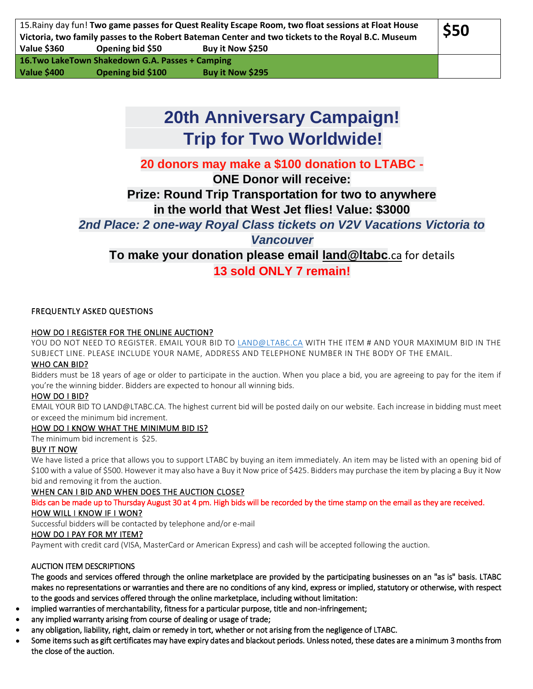# **20th Anniversary Campaign! Trip for Two Worldwide!**

# **20 donors may make a \$100 donation to LTABC -**

**ONE Donor will receive:**

**Prize: Round Trip Transportation for two to anywhere in the world that West Jet flies! Value: \$3000**

*2nd Place: 2 one-way Royal Class tickets on V2V Vacations Victoria to* 

*Vancouver*

**To make your donation please email [land@ltabc](mailto:land@ltabc.ca)**.ca for details **13 sold ONLY 7 remain!**

# FREQUENTLY ASKED QUESTIONS

#### [HOW DO I REGISTER FOR THE ONLINE AUCTION?](http://www.ducks.ca/auction-rules-faq/#custom-collapse-0-0)

YOU DO NOT NEED TO REGISTER. EMAIL YOUR BID TO [LAND@LTABC.CA](mailto:land@ltabc.ca) WITH THE ITEM # AND YOUR MAXIMUM BID IN THE SUBJECT LINE. PLEASE INCLUDE YOUR NAME, ADDRESS AND TELEPHONE NUMBER IN THE BODY OF THE EMAIL.

#### [WHO CAN BID?](http://www.ducks.ca/auction-rules-faq/#custom-collapse-0-1)

Bidders must be 18 years of age or older to participate in the auction. When you place a bid, you are agreeing to pay for the item if you're the winning bidder. Bidders are expected to honour all winning bids.

#### [HOW DO I BID?](http://www.ducks.ca/auction-rules-faq/#custom-collapse-0-2)

EMAIL YOUR BID TO LAND@LTABC.CA. The highest current bid will be posted daily on our website. Each increase in bidding must meet or exceed the minimum bid increment.

# [HOW DO I KNOW WHAT THE MINIMUM BID IS?](http://www.ducks.ca/auction-rules-faq/#custom-collapse-0-3)

The minimum bid increment is \$25.

# [BUY IT NOW](http://www.ducks.ca/auction-rules-faq/#custom-collapse-0-5)

We have listed a price that allows you to support LTABC by buying an item immediately. An item may be listed with an opening bid of \$100 with a value of \$500. However it may also have a Buy it Now price of \$425. Bidders may purchase the item by placing a Buy it Now bid and removing it from the auction.

# WHEN CAN I BID AND WHEN DOES THE AUCTION CLOSE?

Bids can be made up to Thursday August 30 at 4 pm. High bids will be recorded by the time stamp on the email as they are received. [HOW WILL I KNOW IF I WON?](http://www.ducks.ca/auction-rules-faq/#custom-collapse-0-8) 

Successful bidders will be contacted by telephone and/or e-mail

#### [HOW DO I PAY FOR MY ITEM?](http://www.ducks.ca/auction-rules-faq/#custom-collapse-0-9)

Payment with credit card (VISA, MasterCard or American Express) and cash will be accepted following the auction.

# AUCTION ITEM DESCRIPTIONS

The goods and services offered through the online marketplace are provided by the participating businesses on an "as is" basis. LTABC makes no representations or warranties and there are no conditions of any kind, express or implied, statutory or otherwise, with respect to the goods and services offered through the online marketplace, including without limitation:

- implied warranties of merchantability, fitness for a particular purpose, title and non-infringement;
- any implied warranty arising from course of dealing or usage of trade;
- any obligation, liability, right, claim or remedy in tort, whether or not arising from the negligence of LTABC.
- Some items such as gift certificates may have expiry dates and blackout periods. Unless noted, these dates are a minimum 3 months from the close of the auction.